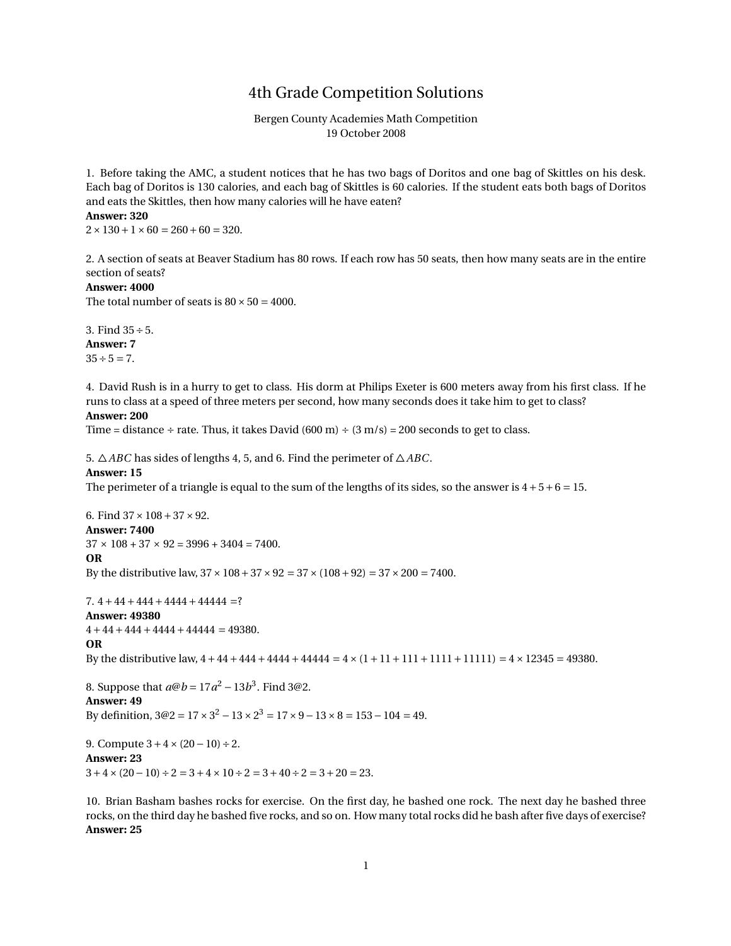## 4th Grade Competition Solutions

Bergen County Academies Math Competition 19 October 2008

1. Before taking the AMC, a student notices that he has two bags of Doritos and one bag of Skittles on his desk. Each bag of Doritos is 130 calories, and each bag of Skittles is 60 calories. If the student eats both bags of Doritos and eats the Skittles, then how many calories will he have eaten? **Answer: 320**

 $2 \times 130 + 1 \times 60 = 260 + 60 = 320.$ 

2. A section of seats at Beaver Stadium has 80 rows. If each row has 50 seats, then how many seats are in the entire section of seats?

#### **Answer: 4000**

The total number of seats is  $80 \times 50 = 4000$ .

3. Find 35÷5. **Answer: 7**  $35 \div 5 = 7$ .

4. David Rush is in a hurry to get to class. His dorm at Philips Exeter is 600 meters away from his first class. If he runs to class at a speed of three meters per second, how many seconds does it take him to get to class?

## **Answer: 200**

Time = distance ÷ rate. Thus, it takes David  $(600 \text{ m}) \div (3 \text{ m/s}) = 200$  seconds to get to class.

5. △*ABC* has sides of lengths 4, 5, and 6. Find the perimeter of △*ABC*.

## **Answer: 15**

The perimeter of a triangle is equal to the sum of the lengths of its sides, so the answer is  $4+5+6=15$ .

6. Find  $37 \times 108 + 37 \times 92$ . **Answer: 7400**  $37 \times 108 + 37 \times 92 = 3996 + 3404 = 7400.$ **OR** By the distributive law,  $37 \times 108 + 37 \times 92 = 37 \times (108 + 92) = 37 \times 200 = 7400$ .

7.  $4+44+444+4444+44444$  =? **Answer: 49380**  $4+44+444+4444+44444=49380.$ **OR** By the distributive law,  $4+44+444+4444+44444 = 4 \times (1+11+111+1111) = 4 \times 12345 = 49380$ .

8. Suppose that  $a@b = 17a^2 - 13b^3$ . Find 3@2. **Answer: 49** By definition,  $3@2 = 17 \times 3^2 - 13 \times 2^3 = 17 \times 9 - 13 \times 8 = 153 - 104 = 49$ .

9. Compute  $3+4 \times (20-10) \div 2$ . **Answer: 23**  $3+4\times(20-10) \div 2 = 3+4\times10 \div 2 = 3+40 \div 2 = 3+20 = 23.$ 

10. Brian Basham bashes rocks for exercise. On the first day, he bashed one rock. The next day he bashed three rocks, on the third day he bashed five rocks, and so on. How many total rocks did he bash after five days of exercise? **Answer: 25**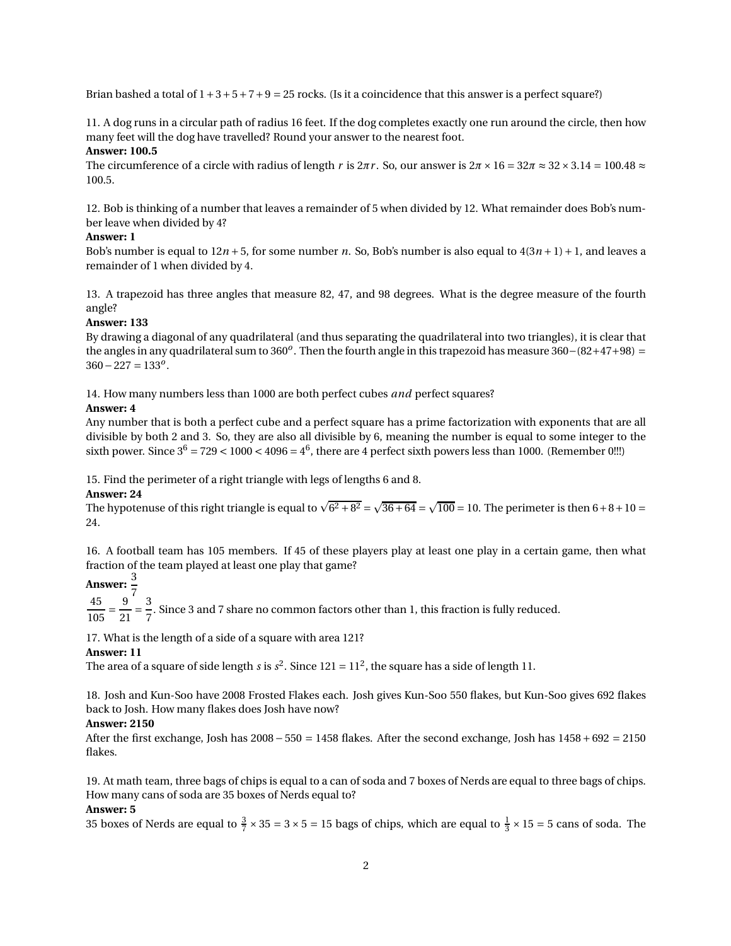Brian bashed a total of  $1+3+5+7+9=25$  rocks. (Is it a coincidence that this answer is a perfect square?)

11. A dog runs in a circular path of radius 16 feet. If the dog completes exactly one run around the circle, then how many feet will the dog have travelled? Round your answer to the nearest foot.

## **Answer: 100.5**

The circumference of a circle with radius of length *r* is  $2\pi r$ . So, our answer is  $2\pi \times 16 = 32\pi \approx 32 \times 3.14 = 100.48 \approx$ 100.5.

12. Bob is thinking of a number that leaves a remainder of 5 when divided by 12. What remainder does Bob's number leave when divided by 4?

### **Answer: 1**

Bob's number is equal to  $12n + 5$ , for some number *n*. So, Bob's number is also equal to  $4(3n + 1) + 1$ , and leaves a remainder of 1 when divided by 4.

13. A trapezoid has three angles that measure 82, 47, and 98 degrees. What is the degree measure of the fourth angle?

## **Answer: 133**

By drawing a diagonal of any quadrilateral (and thus separating the quadrilateral into two triangles), it is clear that the angles in any quadrilateral sum to 360*<sup>o</sup>* . Then the fourth angle in this trapezoid has measure 360−(82+47+98) = <sup>360</sup>−<sup>227</sup> <sup>=</sup> <sup>133</sup>*<sup>o</sup>* .

14. How many numbers less than 1000 are both perfect cubes *and* perfect squares?

## **Answer: 4**

Any number that is both a perfect cube and a perfect square has a prime factorization with exponents that are all divisible by both 2 and 3. So, they are also all divisible by 6, meaning the number is equal to some integer to the sixth power. Since  $3^6 = 729 < 1000 < 4096 = 4^6$ , there are 4 perfect sixth powers less than 1000. (Remember 0!!!)

15. Find the perimeter of a right triangle with legs of lengths 6 and 8.

## **Answer: 24**

The hypotenuse of this right triangle is equal to  $\sqrt{6^2 + 8^2} = \sqrt{36 + 64} = \sqrt{100} = 10$ . The perimeter is then  $6 + 8 + 10 =$ 24.

16. A football team has 105 members. If 45 of these players play at least one play in a certain game, then what fraction of the team played at least one play that game?

# **Answer:** 3

 $45$   $9^7$  $\frac{105}{ }$ 9  $\overline{21}$  = 3  $\frac{1}{7}$ . Since 3 and 7 share no common factors other than 1, this fraction is fully reduced.

17. What is the length of a side of a square with area 121?

## **Answer: 11**

The area of a square of side length *s* is  $s^2$ . Since  $121 = 11^2$ , the square has a side of length 11.

18. Josh and Kun-Soo have 2008 Frosted Flakes each. Josh gives Kun-Soo 550 flakes, but Kun-Soo gives 692 flakes back to Josh. How many flakes does Josh have now?

## **Answer: 2150**

After the first exchange, Josh has 2008− 550 = 1458 flakes. After the second exchange, Josh has 1458+ 692 = 2150 flakes.

19. At math team, three bags of chips is equal to a can of soda and 7 boxes of Nerds are equal to three bags of chips. How many cans of soda are 35 boxes of Nerds equal to?

## **Answer: 5**

35 boxes of Nerds are equal to  $\frac{3}{7} \times 35 = 3 \times 5 = 15$  bags of chips, which are equal to  $\frac{1}{3} \times 15 = 5$  cans of soda. The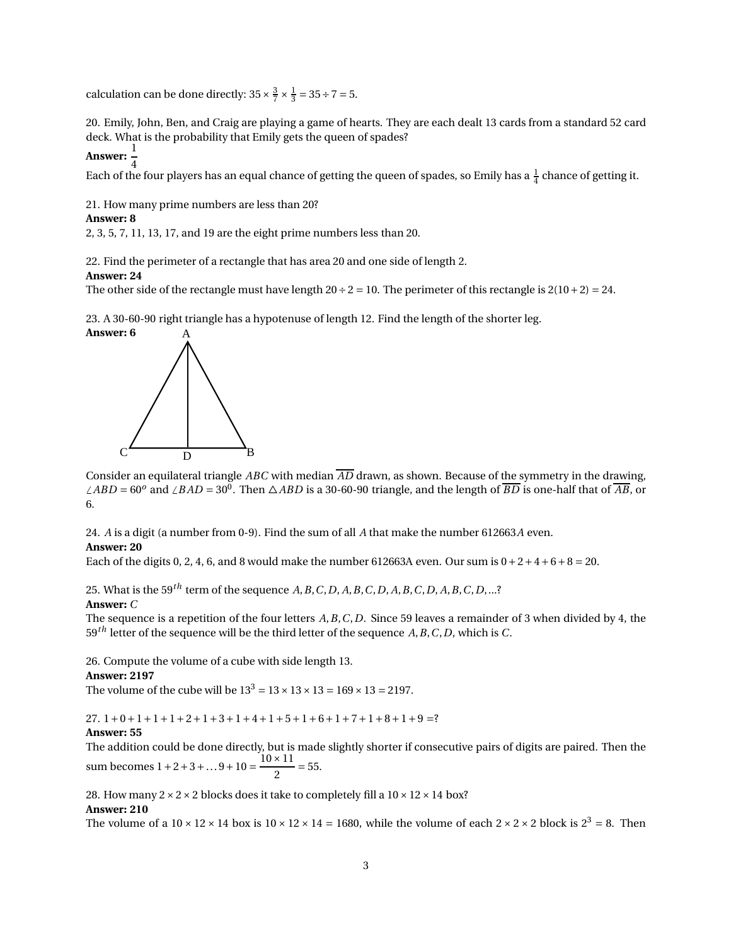calculation can be done directly:  $35 \times \frac{3}{7} \times \frac{1}{3} = 35 \div 7 = 5$ .

20. Emily, John, Ben, and Craig are playing a game of hearts. They are each dealt 13 cards from a standard 52 card deck. What is the probability that Emily gets the queen of spades?

## **Answer:**  $\frac{1}{1}$ 4

Each of the four players has an equal chance of getting the queen of spades, so Emily has a  $\frac{1}{4}$  chance of getting it.

21. How many prime numbers are less than 20?

## **Answer: 8**

2, 3, 5, 7, 11, 13, 17, and 19 are the eight prime numbers less than 20.

22. Find the perimeter of a rectangle that has area 20 and one side of length 2.

## **Answer: 24**

The other side of the rectangle must have length  $20 \div 2 = 10$ . The perimeter of this rectangle is  $2(10+2) = 24$ .

23. A 30-60-90 right triangle has a hypotenuse of length 12. Find the length of the shorter leg.



Consider an equilateral triangle *ABC* with median *AD* drawn, as shown. Because of the symmetry in the drawing,  $\angle ABD = 60^o$  and  $\angle BAD = 30^o$ . Then  $\triangle ABD$  is a 30-60-90 triangle, and the length of  $\overline{BD}$  is one-half that of  $\overline{AB}$ , or 6.

24. *A* is a digit (a number from 0-9). Find the sum of all *A* that make the number 612663*A* even. **Answer: 20**

Each of the digits 0, 2, 4, 6, and 8 would make the number 612663A even. Our sum is  $0+2+4+6+8=20$ .

25. What is the 59*th* term of the sequence *A*,*B*,*C*,*D*, *A*,*B*,*C*,*D*, *A*,*B*,*C*,*D*, *A*,*B*,*C*,*D*,...? **Answer:** *C*

The sequence is a repetition of the four letters *A*,*B*,*C*,*D*. Since 59 leaves a remainder of 3 when divided by 4, the 59*th* letter of the sequence will be the third letter of the sequence *A*,*B*,*C*,*D*, which is *C*.

26. Compute the volume of a cube with side length 13.

#### **Answer: 2197**

The volume of the cube will be  $13^3 = 13 \times 13 \times 13 = 169 \times 13 = 2197$ .

 $27. 1+0+1+1+1+2+1+3+1+4+1+5+1+6+1+7+1+8+1+9=$ ?

#### **Answer: 55**

The addition could be done directly, but is made slightly shorter if consecutive pairs of digits are paired. Then the sum becomes  $1 + 2 + 3 + ... 9 + 10 = \frac{10 \times 11}{2}$  $\frac{1}{2}$  = 55.

28. How many  $2 \times 2 \times 2$  blocks does it take to completely fill a  $10 \times 12 \times 14$  box?

#### **Answer: 210**

The volume of a  $10 \times 12 \times 14$  box is  $10 \times 12 \times 14 = 1680$ , while the volume of each  $2 \times 2 \times 2$  block is  $2^3 = 8$ . Then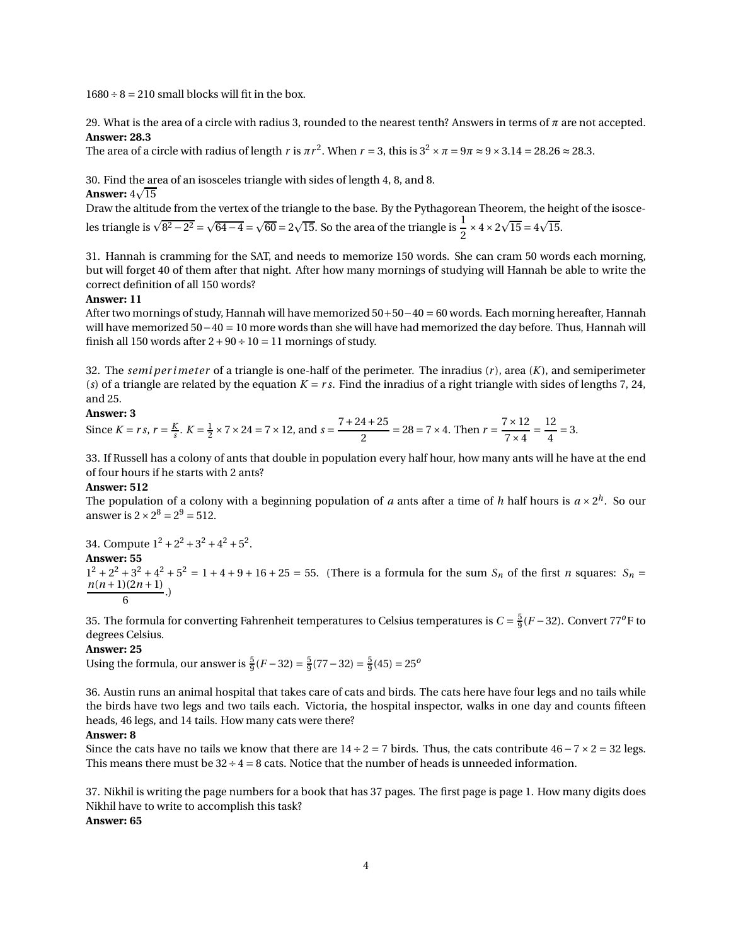$1680 \div 8 = 210$  small blocks will fit in the box.

29. What is the area of a circle with radius 3, rounded to the nearest tenth? Answers in terms of *π* are not accepted. **Answer: 28.3**

The area of a circle with radius of length *r* is  $\pi r^2$ . When  $r = 3$ , this is  $3^2 \times \pi = 9\pi \approx 9 \times 3.14 = 28.26 \approx 28.3$ .

30. Find the area of an isosceles triangle with sides of length 4, 8, and 8.

## **Answer:**  $4\sqrt{15}$

Draw the altitude from the vertex of the triangle to the base. By the Pythagorean Theorem, the height of the isosceles triangle is  $\sqrt{8^2 - 2^2} = \sqrt{64 - 4} = \sqrt{60} = 2\sqrt{15}$ . So the area of the triangle is  $\frac{1}{2} \times 4 \times 2\sqrt{15} = 4\sqrt{15}$ .

31. Hannah is cramming for the SAT, and needs to memorize 150 words. She can cram 50 words each morning, but will forget 40 of them after that night. After how many mornings of studying will Hannah be able to write the correct definition of all 150 words?

#### **Answer: 11**

After two mornings of study, Hannah will have memorized 50+50−40 = 60 words. Each morning hereafter, Hannah will have memorized 50−40 = 10 more words than she will have had memorized the day before. Thus, Hannah will finish all 150 words after  $2+90 \div 10 = 11$  mornings of study.

32. The *semi per i meter* of a triangle is one-half of the perimeter. The inradius (*r* ), area (*K*), and semiperimeter (*s*) of a triangle are related by the equation  $K = rs$ . Find the inradius of a right triangle with sides of lengths 7, 24, and 25.

## **Answer: 3**

Since  $K = rs$ ,  $r = \frac{K}{s}$ .  $K = \frac{1}{2} \times 7 \times 24 = 7 \times 12$ , and  $s = \frac{7+24+25}{2}$  $\frac{4+25}{2}$  = 28 = 7 × 4. Then  $r = \frac{7 \times 12}{7 \times 4}$  $\frac{1}{7\times4}$ 12  $\frac{1}{4}$  = 3.

33. If Russell has a colony of ants that double in population every half hour, how many ants will he have at the end of four hours if he starts with 2 ants?

#### **Answer: 512**

The population of a colony with a beginning population of *a* ants after a time of *h* half hours is  $a \times 2^h$ . So our answer is  $2 \times 2^8 = 2^9 = 512$ .

34. Compute  $1^2 + 2^2 + 3^2 + 4^2 + 5^2$ .

#### **Answer: 55**

 $1^2 + 2^2 + 3^2 + 4^2 + 5^2 = 1 + 4 + 9 + 16 + 25 = 55$ . (There is a formula for the sum *S<sub>n</sub>* of the first *n* squares: *S<sub>n</sub>* =  $\frac{n(n+1)(2n+1)}{6}$ . 6

35. The formula for converting Fahrenheit temperatures to Celsius temperatures is  $C = \frac{5}{9}(F - 32)$ . Convert 77<sup>o</sup>F to degrees Celsius.

#### **Answer: 25**

Using the formula, our answer is  $\frac{5}{9}(F-32) = \frac{5}{9}(77-32) = \frac{5}{9}(45) = 25^{\circ}$ 

36. Austin runs an animal hospital that takes care of cats and birds. The cats here have four legs and no tails while the birds have two legs and two tails each. Victoria, the hospital inspector, walks in one day and counts fifteen heads, 46 legs, and 14 tails. How many cats were there?

### **Answer: 8**

Since the cats have no tails we know that there are  $14 \div 2 = 7$  birds. Thus, the cats contribute  $46 - 7 \times 2 = 32$  legs. This means there must be  $32 \div 4 = 8$  cats. Notice that the number of heads is unneeded information.

37. Nikhil is writing the page numbers for a book that has 37 pages. The first page is page 1. How many digits does Nikhil have to write to accomplish this task? **Answer: 65**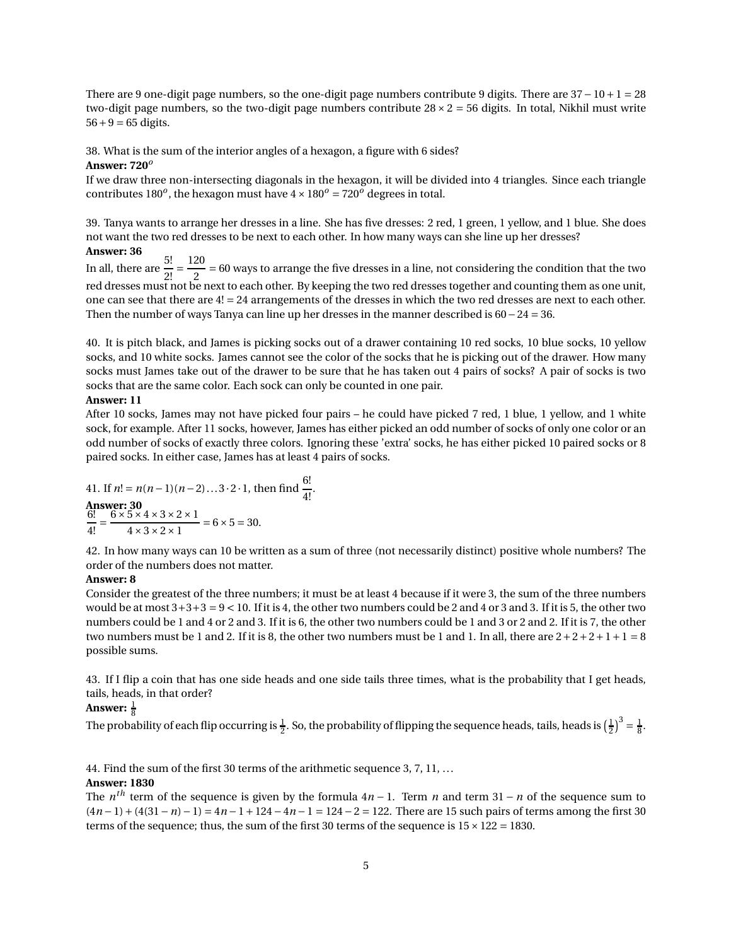There are 9 one-digit page numbers, so the one-digit page numbers contribute 9 digits. There are 37− 10+ 1 = 28 two-digit page numbers, so the two-digit page numbers contribute  $28 \times 2 = 56$  digits. In total, Nikhil must write  $56 + 9 = 65$  digits.

38. What is the sum of the interior angles of a hexagon, a figure with 6 sides?

#### **Answer: 720***<sup>o</sup>*

If we draw three non-intersecting diagonals in the hexagon, it will be divided into 4 triangles. Since each triangle contributes  $180^o$ , the hexagon must have  $4 \times 180^o = 720^o$  degrees in total.

39. Tanya wants to arrange her dresses in a line. She has five dresses: 2 red, 1 green, 1 yellow, and 1 blue. She does not want the two red dresses to be next to each other. In how many ways can she line up her dresses?

## **Answer: 36**

In all, there are  $\frac{5!}{2!}$  = 120  $\frac{1}{2}$  = 60 ways to arrange the five dresses in a line, not considering the condition that the two red dresses must not be next to each other. By keeping the two red dresses together and counting them as one unit, one can see that there are 4! = 24 arrangements of the dresses in which the two red dresses are next to each other. Then the number of ways Tanya can line up her dresses in the manner described is 60−24 = 36.

40. It is pitch black, and James is picking socks out of a drawer containing 10 red socks, 10 blue socks, 10 yellow socks, and 10 white socks. James cannot see the color of the socks that he is picking out of the drawer. How many socks must James take out of the drawer to be sure that he has taken out 4 pairs of socks? A pair of socks is two socks that are the same color. Each sock can only be counted in one pair.

#### **Answer: 11**

After 10 socks, James may not have picked four pairs – he could have picked 7 red, 1 blue, 1 yellow, and 1 white sock, for example. After 11 socks, however, James has either picked an odd number of socks of only one color or an odd number of socks of exactly three colors. Ignoring these 'extra' socks, he has either picked 10 paired socks or 8 paired socks. In either case, James has at least 4 pairs of socks.

.

41. If 
$$
n! = n(n-1)(n-2)...3 \cdot 2 \cdot 1
$$
, then find  $\frac{6!}{4!}$   
\n $\frac{6!}{6!} = \frac{6 \times 5 \times 4 \times 3 \times 2 \times 1}{4 \times 3 \times 2 \times 1} = 6 \times 5 = 30.$ 

42. In how many ways can 10 be written as a sum of three (not necessarily distinct) positive whole numbers? The order of the numbers does not matter.

#### **Answer: 8**

Consider the greatest of the three numbers; it must be at least 4 because if it were 3, the sum of the three numbers would be at most  $3+3+3=9<10$ . If it is 4, the other two numbers could be 2 and 4 or 3 and 3. If it is 5, the other two numbers could be 1 and 4 or 2 and 3. If it is 6, the other two numbers could be 1 and 3 or 2 and 2. If it is 7, the other two numbers must be 1 and 2. If it is 8, the other two numbers must be 1 and 1. In all, there are  $2+2+2+1+1=8$ possible sums.

43. If I flip a coin that has one side heads and one side tails three times, what is the probability that I get heads, tails, heads, in that order?

## Answer:  $\frac{1}{8}$

The probability of each flip occurring is  $\frac{1}{2}$ . So, the probability of flipping the sequence heads, tails, heads is  $(\frac{1}{2})^3 = \frac{1}{8}$ .

44. Find the sum of the first 30 terms of the arithmetic sequence 3, 7, 11, ...

## **Answer: 1830**

The *n th* term of the sequence is given by the formula 4*<sup>n</sup>* <sup>−</sup> 1. Term *<sup>n</sup>* and term 31 <sup>−</sup> *<sup>n</sup>* of the sequence sum to (4*n* − 1) + (4(31− *n*) − 1) = 4*n* − 1+ 124− 4*n* − 1 = 124− 2 = 122. There are 15 such pairs of terms among the first 30 terms of the sequence; thus, the sum of the first 30 terms of the sequence is  $15 \times 122 = 1830$ .